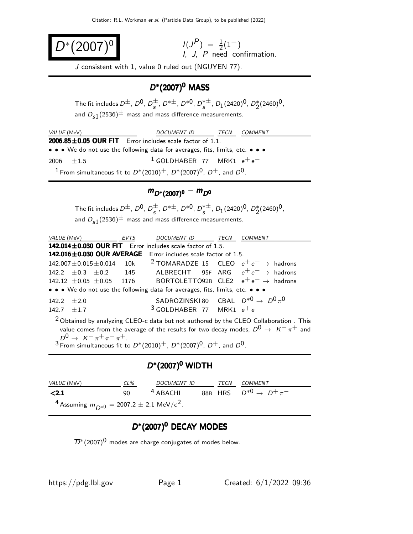$$
D^*(2007)^0
$$

 $(2007)^{0}$   $I(J^{P}) = \frac{1}{2}(1^{-})$ I, J, P need confirmation.

J consistent with 1, value 0 ruled out (NGUYEN 77).

## $D^{*}(2007)^{0}$  MASS

The fit includes  $D^{\pm}$ ,  $D^{0}$ ,  $D^{\pm}$  $\frac{\pm}{s}$ , D<sup>\* $\pm$ </sup>, D<sup>\*0</sup>, D<sup>\* $\pm$ </sup>  $_s^{*\pm}$ ,  $D_1(2420)^0$ ,  $D_2^*(2460)^0$ , and  $D_{s1}(2536)^{\pm}$  mass and mass difference measurements.

| <i>VALUE</i> (MeV)                                                                        |  | DOCUMENT ID TECN |  | <i>COMMENT</i> |  |  |
|-------------------------------------------------------------------------------------------|--|------------------|--|----------------|--|--|
| $2006.85 \pm 0.05$ OUR FIT Error includes scale factor of 1.1.                            |  |                  |  |                |  |  |
| • • • We do not use the following data for averages, fits, limits, etc. • • •             |  |                  |  |                |  |  |
| <sup>1</sup> GOLDHABER 77 MRK1 $e^+e^-$<br>2006 $\pm 1.5$                                 |  |                  |  |                |  |  |
| <sup>1</sup> From simultaneous fit to $D^*(2010)^+$ , $D^*(2007)^0$ , $D^+$ , and $D^0$ . |  |                  |  |                |  |  |

# $m_{D^*(2007)^0} - m_{D^0}$

The fit includes  $D^{\pm}$ ,  $D^{0}$ ,  $D^{\pm}$  $\frac{\pm}{s}$ , D<sup>\* $\pm$ </sup>, D<sup>\*0</sup>, D<sup>\* $\pm$ </sup>  $_s^{*\pm}$ ,  $D_1(2420)^0$ ,  $D_2^*(2460)^0$ , and  $D_{s1}(2536)^{\pm}$  mass and mass difference measurements.

| VALUE (MeV) EVTS                                                                                |  | DOCUMENT ID TECN                                   |  | <b>COMMENT</b>                                                                                   |  |  |
|-------------------------------------------------------------------------------------------------|--|----------------------------------------------------|--|--------------------------------------------------------------------------------------------------|--|--|
| 142.014 $\pm$ 0.030 OUR FIT Error includes scale factor of 1.5.                                 |  |                                                    |  |                                                                                                  |  |  |
| 142.016±0.030 OUR AVERAGE Error includes scale factor of 1.5.                                   |  |                                                    |  |                                                                                                  |  |  |
| 142.007 $\pm$ 0.015 $\pm$ 0.014 10k <sup>2</sup> TOMARADZE 15 CLEO $e^+e^- \rightarrow$ hadrons |  |                                                    |  |                                                                                                  |  |  |
| 142.2 $\pm$ 0.3 $\pm$ 0.2 145 ALBRECHT 95F ARG $e^+e^- \rightarrow$ hadrons                     |  |                                                    |  |                                                                                                  |  |  |
| 142.12 $\pm 0.05 \pm 0.05$ 1176 BORTOLETTO92B CLE2 $e^+e^- \rightarrow$ hadrons                 |  |                                                    |  |                                                                                                  |  |  |
| • • • We do not use the following data for averages, fits, limits, etc. • • •                   |  |                                                    |  |                                                                                                  |  |  |
| $142.2 + 2.0$                                                                                   |  | SADROZINSKI 80 CBAL $D^{*0} \rightarrow D^0 \pi^0$ |  |                                                                                                  |  |  |
| $142.7 + 1.7$                                                                                   |  | <sup>3</sup> GOLDHABER 77 MRK1 $e^+e^-$            |  |                                                                                                  |  |  |
| <sup>2</sup> Obtained by analyzing CLEO-c data but not authored by the CLEO Collaboration. This |  |                                                    |  |                                                                                                  |  |  |
|                                                                                                 |  |                                                    |  | value comes from the average of the results for two decay modes, $D^0 \rightarrow K^- \pi^+$ and |  |  |
| $D^0 \to K^- \pi^+ \pi^- \pi^+.$                                                                |  | $\sim$ $\sim$ $\sim$ $\sim$                        |  |                                                                                                  |  |  |

 $3$  From simultaneous fit to  $D^*(2010)^+$ ,  $D^*(2007)^0$ ,  $D^+$ , and  $D^0$ .

#### $D^{*}(2007)^{0}$  WIDTH

| <i>VALUE</i> (MeV)                                            | $CL\%$ | DOCUMENT ID |  | TECN COMMENT                                                   |
|---------------------------------------------------------------|--------|-------------|--|----------------------------------------------------------------|
| < 2.1                                                         | 90     |             |  | <sup>4</sup> ABACHI 88B HRS $D^{*0} \rightarrow D^{+} \pi^{-}$ |
| <sup>4</sup> Assuming $m_{D*0} = 2007.2 \pm 2.1$ MeV/ $c^2$ . |        |             |  |                                                                |

### D\*(2007)<sup>0</sup> DECAY MODES

 $\overline{D}$ <sup>\*</sup>(2007)<sup>0</sup> modes are charge conjugates of modes below.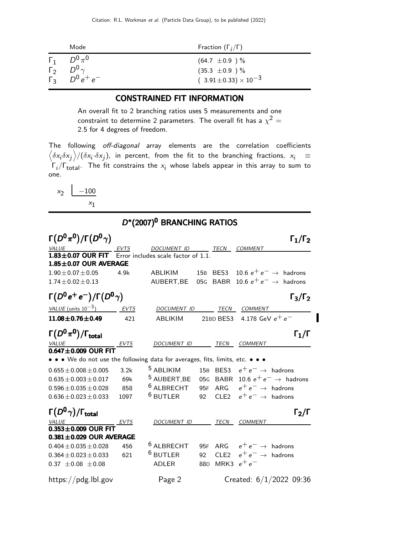|                          | Mode                                                                           | Fraction $(\Gamma_i/\Gamma)$                                                 |
|--------------------------|--------------------------------------------------------------------------------|------------------------------------------------------------------------------|
| $\Gamma_1$<br>$\Gamma_2$ | $D^0\pi^0$<br>$D^0$ <sub><math>\gamma</math></sub><br>$\sqrt{2}$ $D^0 e^+ e^-$ | $(64.7 \pm 0.9)$ %<br>$(35.3 \pm 0.9)$ %<br>$(3.91 \pm 0.33) \times 10^{-3}$ |

#### CONSTRAINED FIT INFORMATION

An overall fit to 2 branching ratios uses 5 measurements and one constraint to determine 2 parameters. The overall fit has a  $\chi^2 =$ 2.5 for 4 degrees of freedom.

The following off-diagonal array elements are the correlation coefficients  $\left<\delta x_i\delta x_j\right>$ / $(\delta x_i\cdot\delta x_j)$ , in percent, from the fit to the branching fractions,  $x_i$   $\;\equiv$  $\mathsf{\Gamma}_i/\mathsf{\Gamma}_{\mathsf{total}}$ . The fit constrains the  $\mathsf{x}_i$  whose labels appear in this array to sum to one.



#### D\*(2007)<sup>0</sup> BRANCHING RATIOS

| $\Gamma(D^0\pi^0)/\Gamma(D^0\gamma)$                                          |             |                                                         |                 |          |                                       | $\Gamma_1/\Gamma_2$               |
|-------------------------------------------------------------------------------|-------------|---------------------------------------------------------|-----------------|----------|---------------------------------------|-----------------------------------|
| VALUE                                                                         | EVTS        | <b>DOCUMENT ID</b>                                      |                 | TECN     | <b>COMMENT</b>                        |                                   |
| $1.83\pm0.07$ OUR FIT<br>$1.85 \pm 0.07$ OUR AVERAGE                          |             | Error includes scale factor of 1.1.                     |                 |          |                                       |                                   |
| $1.90 \pm 0.07 \pm 0.05$                                                      | 4.9k        | ABLIKIM                                                 |                 | 15B BES3 |                                       | 10.6 $e^+e^- \rightarrow$ hadrons |
| $1.74 \pm 0.02 \pm 0.13$                                                      |             | AUBERT, BE 05G BABR 10.6 $e^+e^- \rightarrow$ hadrons   |                 |          |                                       |                                   |
| $\Gamma(D^0e^+e^-)/\Gamma(D^0\gamma)$                                         |             |                                                         |                 |          |                                       | $\Gamma_3/\Gamma_2$               |
| VALUE (units $10^{-3}$ ) EVTS                                                 |             | DOCUMENT ID                                             |                 |          | TECN COMMENT                          |                                   |
| $11.08\pm0.76\pm0.49$                                                         | 421         | <b>ABLIKIM</b>                                          |                 |          | 21BD BES3 $\,$ 4.178 GeV $e^+ \, e^-$ |                                   |
| $\Gamma(D^0\pi^0)/\Gamma_{\rm total}$                                         |             |                                                         |                 |          |                                       | $\Gamma_1/\Gamma$                 |
| VALUE                                                                         | EVTS        | DOCUMENT ID TECN                                        |                 |          | <b>COMMENT</b>                        |                                   |
| $0.647 \pm 0.009$ OUR FIT                                                     |             |                                                         |                 |          |                                       |                                   |
| • • • We do not use the following data for averages, fits, limits, etc. • • • |             |                                                         |                 |          |                                       |                                   |
| $0.655 \pm 0.008 \pm 0.005$                                                   | 3.2k        | <sup>5</sup> ABLIKIM                                    |                 |          | 15B BES3 $e^+e^- \rightarrow$ hadrons |                                   |
| $0.635 \pm 0.003 \pm 0.017$                                                   | 69k         | 5 AUBERT, BE 05G BABR 10.6 $e^+e^- \rightarrow$ hadrons |                 |          |                                       |                                   |
| $0.596 \pm 0.035 \pm 0.028$                                                   | 858         | $^6$ ALBRECHT                                           |                 |          | 95F ARG $e^+e^- \rightarrow$ hadrons  |                                   |
| $0.636 \pm 0.023 \pm 0.033$                                                   | 1097        | $^6$ BUTLER                                             |                 |          | 92 CLE2 $e^+e^- \rightarrow$ hadrons  |                                   |
| $\Gamma(D^0\gamma)/\Gamma_{\rm total}$                                        |             |                                                         |                 |          |                                       | $\Gamma_2/\Gamma$                 |
|                                                                               | <b>EVTS</b> | DOCUMENT ID                                             |                 | TECN     | <b>COMMENT</b>                        |                                   |
| $0.353 \pm 0.009$ OUR FIT<br>$0.381 \pm 0.029$ OUR AVERAGE                    |             |                                                         |                 |          |                                       |                                   |
| $0.404 \pm 0.035 \pm 0.028$                                                   | 456         | $6$ ALBRECHT                                            |                 |          | 95F ARG $e^+e^- \rightarrow$ hadrons  |                                   |
| $0.364 \pm 0.023 \pm 0.033$                                                   | 621         | $^6$ BUTLER                                             |                 |          | 92 CLE2 $e^+e^- \rightarrow$ hadrons  |                                   |
| $0.37 \pm 0.08 \pm 0.08$                                                      |             | ADLER                                                   | 88 <sub>D</sub> |          | MRK3 $e^+e^-$                         |                                   |
| https://pdg.lbl.gov                                                           |             | Page 2                                                  |                 |          |                                       | Created: $6/1/2022$ 09:36         |